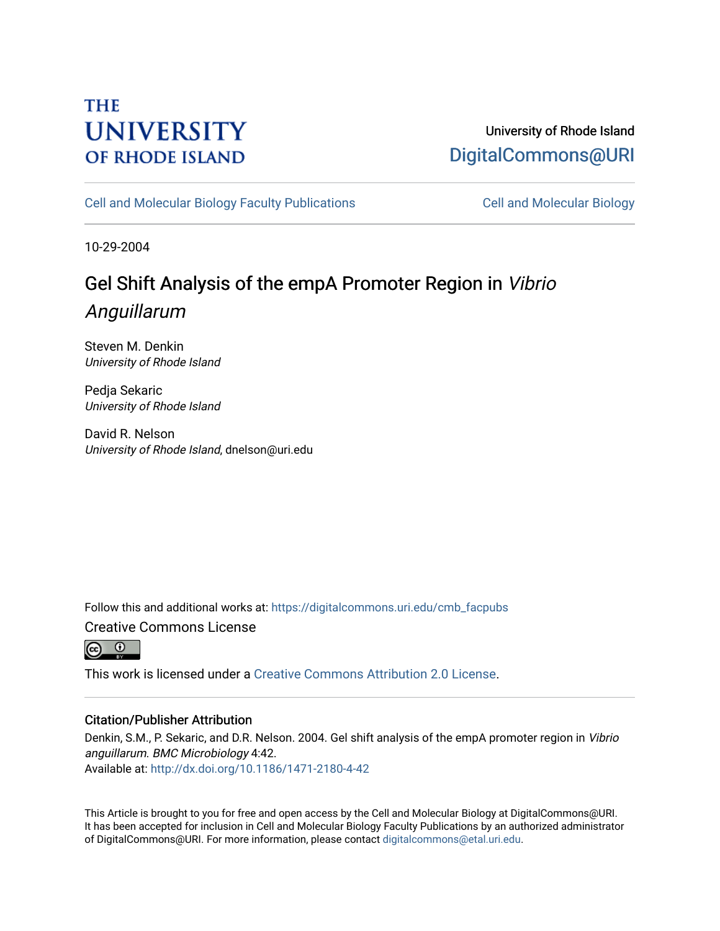# **THE UNIVERSITY OF RHODE ISLAND**

## University of Rhode Island [DigitalCommons@URI](https://digitalcommons.uri.edu/)

[Cell and Molecular Biology Faculty Publications](https://digitalcommons.uri.edu/cmb_facpubs) [Cell and Molecular Biology](https://digitalcommons.uri.edu/cmb) 

10-29-2004

# Gel Shift Analysis of the empA Promoter Region in Vibrio Anguillarum

Steven M. Denkin University of Rhode Island

Pedja Sekaric University of Rhode Island

David R. Nelson University of Rhode Island, dnelson@uri.edu

Follow this and additional works at: [https://digitalcommons.uri.edu/cmb\\_facpubs](https://digitalcommons.uri.edu/cmb_facpubs?utm_source=digitalcommons.uri.edu%2Fcmb_facpubs%2F5&utm_medium=PDF&utm_campaign=PDFCoverPages)  Creative Commons License



This work is licensed under a [Creative Commons Attribution 2.0 License](https://creativecommons.org/licenses/by/2.0/).

### Citation/Publisher Attribution

Denkin, S.M., P. Sekaric, and D.R. Nelson. 2004. Gel shift analysis of the empA promoter region in Vibrio anguillarum. BMC Microbiology 4:42. Available at:<http://dx.doi.org/10.1186/1471-2180-4-42>

This Article is brought to you for free and open access by the Cell and Molecular Biology at DigitalCommons@URI. It has been accepted for inclusion in Cell and Molecular Biology Faculty Publications by an authorized administrator of DigitalCommons@URI. For more information, please contact [digitalcommons@etal.uri.edu](mailto:digitalcommons@etal.uri.edu).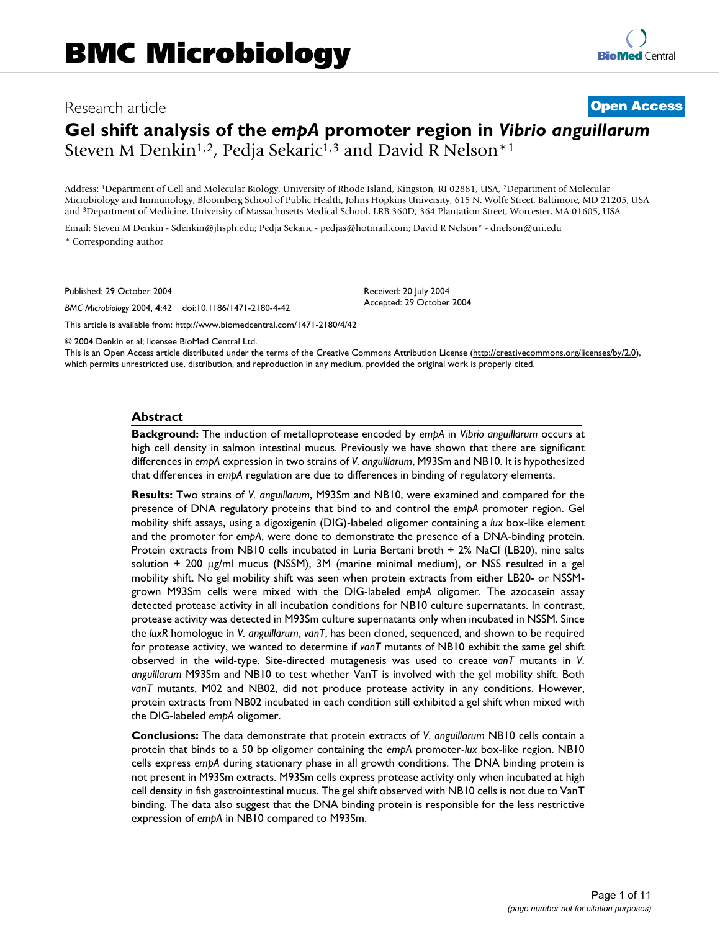## Research article **[Open Access](http://www.biomedcentral.com/info/about/charter/) Gel shift analysis of the** *empA* **promoter region in** *Vibrio anguillarum* Steven M Denkin<sup>1,2</sup>, Pedia Sekaric<sup>1,3</sup> and David R Nelson<sup>\*1</sup>

Address: 1Department of Cell and Molecular Biology, University of Rhode Island, Kingston, RI 02881, USA, 2Department of Molecular Microbiology and Immunology, Bloomberg School of Public Health, Johns Hopkins University, 615 N. Wolfe Street, Baltimore, MD 21205, USA and 3Department of Medicine, University of Massachusetts Medical School, LRB 360D, 364 Plantation Street, Worcester, MA 01605, USA

Email: Steven M Denkin - Sdenkin@jhsph.edu; Pedja Sekaric - pedjas@hotmail.com; David R Nelson\* - dnelson@uri.edu \* Corresponding author

Published: 29 October 2004

*BMC Microbiology* 2004, **4**:42 doi:10.1186/1471-2180-4-42

Received: 20 July 2004 Accepted: 29 October 2004

[This article is available from: http://www.biomedcentral.com/1471-2180/4/42](http://www.biomedcentral.com/1471-2180/4/42)

© 2004 Denkin et al; licensee BioMed Central Ltd.

This is an Open Access article distributed under the terms of the Creative Commons Attribution License [\(http://creativecommons.org/licenses/by/2.0\)](http://creativecommons.org/licenses/by/2.0), which permits unrestricted use, distribution, and reproduction in any medium, provided the original work is properly cited.

#### **Abstract**

**Background:** The induction of metalloprotease encoded by *empA* in *Vibrio anguillarum* occurs at high cell density in salmon intestinal mucus. Previously we have shown that there are significant differences in *empA* expression in two strains of *V. anguillarum*, M93Sm and NB10. It is hypothesized that differences in *empA* regulation are due to differences in binding of regulatory elements.

**Results:** Two strains of *V. anguillarum*, M93Sm and NB10, were examined and compared for the presence of DNA regulatory proteins that bind to and control the *empA* promoter region. Gel mobility shift assays, using a digoxigenin (DIG)-labeled oligomer containing a *lux* box-like element and the promoter for *empA*, were done to demonstrate the presence of a DNA-binding protein. Protein extracts from NB10 cells incubated in Luria Bertani broth + 2% NaCl (LB20), nine salts solution  $+$  200  $\mu$ g/ml mucus (NSSM), 3M (marine minimal medium), or NSS resulted in a gel mobility shift. No gel mobility shift was seen when protein extracts from either LB20- or NSSMgrown M93Sm cells were mixed with the DIG-labeled *empA* oligomer. The azocasein assay detected protease activity in all incubation conditions for NB10 culture supernatants. In contrast, protease activity was detected in M93Sm culture supernatants only when incubated in NSSM. Since the *luxR* homologue in *V. anguillarum*, *vanT*, has been cloned, sequenced, and shown to be required for protease activity, we wanted to determine if *vanT* mutants of NB10 exhibit the same gel shift observed in the wild-type. Site-directed mutagenesis was used to create *vanT* mutants in *V. anguillarum* M93Sm and NB10 to test whether VanT is involved with the gel mobility shift. Both *vanT* mutants, M02 and NB02, did not produce protease activity in any conditions. However, protein extracts from NB02 incubated in each condition still exhibited a gel shift when mixed with the DIG-labeled *empA* oligomer.

**Conclusions:** The data demonstrate that protein extracts of *V. anguillarum* NB10 cells contain a protein that binds to a 50 bp oligomer containing the *empA* promoter-*lux* box-like region. NB10 cells express *empA* during stationary phase in all growth conditions. The DNA binding protein is not present in M93Sm extracts. M93Sm cells express protease activity only when incubated at high cell density in fish gastrointestinal mucus. The gel shift observed with NB10 cells is not due to VanT binding. The data also suggest that the DNA binding protein is responsible for the less restrictive expression of *empA* in NB10 compared to M93Sm.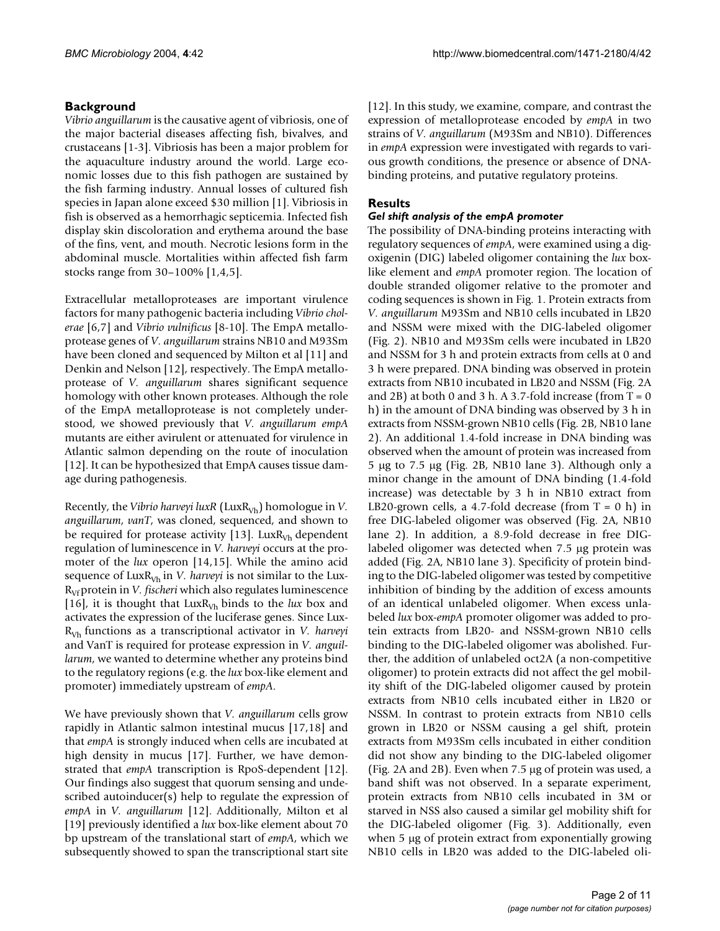### **Background**

*Vibrio anguillarum* is the causative agent of vibriosis, one of the major bacterial diseases affecting fish, bivalves, and crustaceans [1-3]. Vibriosis has been a major problem for the aquaculture industry around the world. Large economic losses due to this fish pathogen are sustained by the fish farming industry. Annual losses of cultured fish species in Japan alone exceed \$30 million [1]. Vibriosis in fish is observed as a hemorrhagic septicemia. Infected fish display skin discoloration and erythema around the base of the fins, vent, and mouth. Necrotic lesions form in the abdominal muscle. Mortalities within affected fish farm stocks range from 30–100% [1,4,5].

Extracellular metalloproteases are important virulence factors for many pathogenic bacteria including *Vibrio cholerae* [6,7] and *Vibrio vulnificus* [8-10]. The EmpA metalloprotease genes of *V. anguillarum* strains NB10 and M93Sm have been cloned and sequenced by Milton et al [11] and Denkin and Nelson [12], respectively. The EmpA metalloprotease of *V. anguillarum* shares significant sequence homology with other known proteases. Although the role of the EmpA metalloprotease is not completely understood, we showed previously that *V. anguillarum empA* mutants are either avirulent or attenuated for virulence in Atlantic salmon depending on the route of inoculation [12]. It can be hypothesized that EmpA causes tissue damage during pathogenesis.

Recently, the *Vibrio harveyi luxR* (LuxR<sub>Vh</sub>) homologue in *V*. *anguillarum*, *vanT*, was cloned, sequenced, and shown to be required for protease activity [13]. Lux $R_{Vh}$  dependent regulation of luminescence in *V. harveyi* occurs at the promoter of the *lux* operon [14,15]. While the amino acid sequence of LuxR<sub>Vh</sub> in *V. harveyi* is not similar to the Lux-R<sub>Vf</sub> protein in *V. fischeri* which also regulates luminescence [16], it is thought that  $LuxR<sub>Vh</sub>$  binds to the *lux* box and activates the expression of the luciferase genes. Since Lux-RVh functions as a transcriptional activator in *V. harveyi* and VanT is required for protease expression in *V. anguillarum*, we wanted to determine whether any proteins bind to the regulatory regions (e.g. the *lux* box-like element and promoter) immediately upstream of *empA*.

We have previously shown that *V. anguillarum* cells grow rapidly in Atlantic salmon intestinal mucus [17,18] and that *empA* is strongly induced when cells are incubated at high density in mucus [17]. Further, we have demonstrated that *empA* transcription is RpoS-dependent [12]. Our findings also suggest that quorum sensing and undescribed autoinducer(s) help to regulate the expression of *empA* in *V. anguillarum* [12]. Additionally, Milton et al [19] previously identified a *lux* box-like element about 70 bp upstream of the translational start of *empA*, which we subsequently showed to span the transcriptional start site

[12]. In this study, we examine, compare, and contrast the expression of metalloprotease encoded by *empA* in two strains of *V. anguillarum* (M93Sm and NB10). Differences in *empA* expression were investigated with regards to various growth conditions, the presence or absence of DNAbinding proteins, and putative regulatory proteins.

### **Results**

#### *Gel shift analysis of the empA promoter*

The possibility of DNA-binding proteins interacting with regulatory sequences of *empA*, were examined using a digoxigenin (DIG) labeled oligomer containing the *lux* boxlike element and *empA* promoter region. The location of double stranded oligomer relative to the promoter and coding sequences is shown in Fig. 1. Protein extracts from *V. anguillarum* M93Sm and NB10 cells incubated in LB20 and NSSM were mixed with the DIG-labeled oligomer (Fig. 2). NB10 and M93Sm cells were incubated in LB20 and NSSM for 3 h and protein extracts from cells at 0 and 3 h were prepared. DNA binding was observed in protein extracts from NB10 incubated in LB20 and NSSM (Fig. 2A and 2B) at both 0 and 3 h. A 3.7-fold increase (from  $T = 0$ h) in the amount of DNA binding was observed by 3 h in extracts from NSSM-grown NB10 cells (Fig. 2B, NB10 lane 2). An additional 1.4-fold increase in DNA binding was observed when the amount of protein was increased from 5 µg to 7.5 µg (Fig. 2B, NB10 lane 3). Although only a minor change in the amount of DNA binding (1.4-fold increase) was detectable by 3 h in NB10 extract from LB20-grown cells, a 4.7-fold decrease (from  $T = 0$  h) in free DIG-labeled oligomer was observed (Fig. 2A, NB10 lane 2). In addition, a 8.9-fold decrease in free DIGlabeled oligomer was detected when 7.5 µg protein was added (Fig. 2A, NB10 lane 3). Specificity of protein binding to the DIG-labeled oligomer was tested by competitive inhibition of binding by the addition of excess amounts of an identical unlabeled oligomer. When excess unlabeled *lux* box-*empA* promoter oligomer was added to protein extracts from LB20- and NSSM-grown NB10 cells binding to the DIG-labeled oligomer was abolished. Further, the addition of unlabeled oct2A (a non-competitive oligomer) to protein extracts did not affect the gel mobility shift of the DIG-labeled oligomer caused by protein extracts from NB10 cells incubated either in LB20 or NSSM. In contrast to protein extracts from NB10 cells grown in LB20 or NSSM causing a gel shift, protein extracts from M93Sm cells incubated in either condition did not show any binding to the DIG-labeled oligomer (Fig. 2A and 2B). Even when 7.5 µg of protein was used, a band shift was not observed. In a separate experiment, protein extracts from NB10 cells incubated in 3M or starved in NSS also caused a similar gel mobility shift for the DIG-labeled oligomer (Fig. 3). Additionally, even when 5 µg of protein extract from exponentially growing NB10 cells in LB20 was added to the DIG-labeled oli-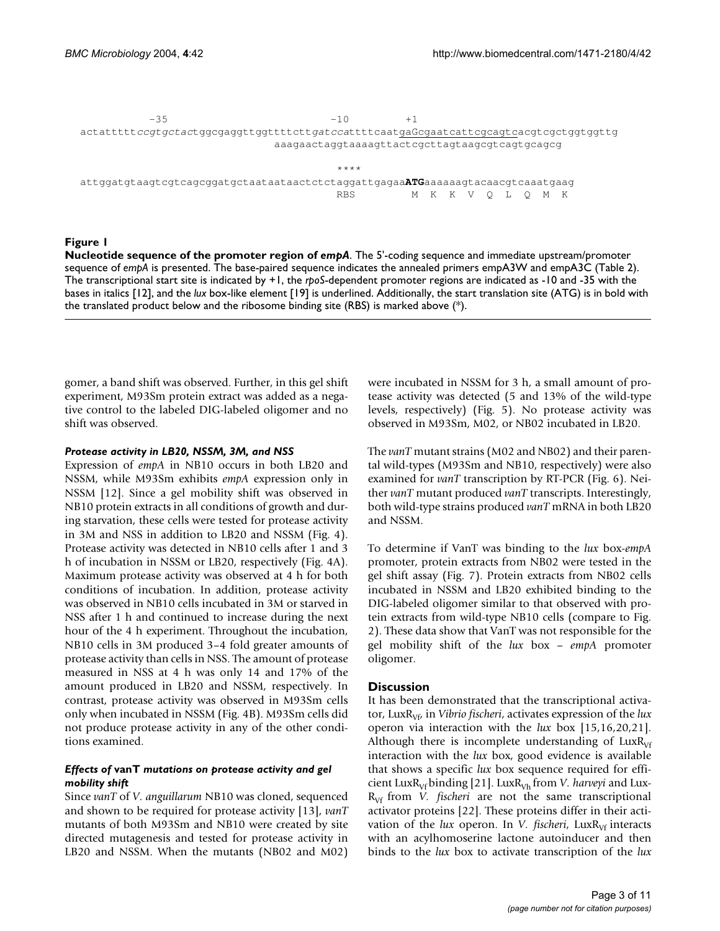$-35$  $-1<sub>0</sub>$  $+1$ actatttt*ccgtgctac*tggcgaggttggtttctt*gatca*ttttcaatgaGcgaatcattcgcagtcacgtcgctggtggttg<br>aaanactagtagtaanttactcocttagtaacgtcacgtcaggcg aaagaactaggtaaaagttactcgcttagtaagcgtcagtgcagcg

 $***$ attggatgtaagtcgtcagcggatgctaataataactctctaggattgagaa**ATG**aaaaaagtacaacgtcaaatgaag<br>PRS MKKVOLOMK RBS M K K V Q L Q M K

#### Figure 1

**Nucleotide sequence of the promoter region of** *empA*. The 5'-coding sequence and immediate upstream/promoter sequence of *empA* is presented. The base-paired sequence indicates the annealed primers empA3W and empA3C (Table 2). The transcriptional start site is indicated by +1, the *rpoS*-dependent promoter regions are indicated as -10 and -35 with the bases in italics [12], and the *lux* box-like element [19] is underlined. Additionally, the start translation site (ATG) is in bold with the translated product below and the ribosome binding site (RBS) is marked above (\*).

gomer, a band shift was observed. Further, in this gel shift experiment, M93Sm protein extract was added as a negative control to the labeled DIG-labeled oligomer and no shift was observed.

#### *Protease activity in LB20, NSSM, 3M, and NSS*

Expression of *empA* in NB10 occurs in both LB20 and NSSM, while M93Sm exhibits *empA* expression only in NSSM [12]. Since a gel mobility shift was observed in NB10 protein extracts in all conditions of growth and during starvation, these cells were tested for protease activity in 3M and NSS in addition to LB20 and NSSM (Fig. 4). Protease activity was detected in NB10 cells after 1 and 3 h of incubation in NSSM or LB20, respectively (Fig. 4A). Maximum protease activity was observed at 4 h for both conditions of incubation. In addition, protease activity was observed in NB10 cells incubated in 3M or starved in NSS after 1 h and continued to increase during the next hour of the 4 h experiment. Throughout the incubation, NB10 cells in 3M produced 3–4 fold greater amounts of protease activity than cells in NSS. The amount of protease measured in NSS at 4 h was only 14 and 17% of the amount produced in LB20 and NSSM, respectively. In contrast, protease activity was observed in M93Sm cells only when incubated in NSSM (Fig. 4B). M93Sm cells did not produce protease activity in any of the other conditions examined.

#### *Effects of* **vanT** *mutations on protease activity and gel mobility shift*

Since *vanT* of *V. anguillarum* NB10 was cloned, sequenced and shown to be required for protease activity [13], *vanT* mutants of both M93Sm and NB10 were created by site directed mutagenesis and tested for protease activity in LB20 and NSSM. When the mutants (NB02 and M02)

were incubated in NSSM for 3 h, a small amount of protease activity was detected (5 and 13% of the wild-type levels, respectively) (Fig. 5). No protease activity was observed in M93Sm, M02, or NB02 incubated in LB20.

The *vanT* mutant strains (M02 and NB02) and their parental wild-types (M93Sm and NB10, respectively) were also examined for *vanT* transcription by RT-PCR (Fig. 6). Neither *vanT* mutant produced *vanT* transcripts. Interestingly, both wild-type strains produced *vanT* mRNA in both LB20 and NSSM.

To determine if VanT was binding to the *lux* box-*empA* promoter, protein extracts from NB02 were tested in the gel shift assay (Fig. 7). Protein extracts from NB02 cells incubated in NSSM and LB20 exhibited binding to the DIG-labeled oligomer similar to that observed with protein extracts from wild-type NB10 cells (compare to Fig. 2). These data show that VanT was not responsible for the gel mobility shift of the *lux* box – *empA* promoter oligomer.

#### **Discussion**

It has been demonstrated that the transcriptional activator, LuxR<sub>Vf</sub>, in *Vibrio fischeri*, activates expression of the *lux* operon via interaction with the *lux* box [15,16,20,21]. Although there is incomplete understanding of  $LuxR<sub>Vf</sub>$ interaction with the *lux* box, good evidence is available that shows a specific *lux* box sequence required for efficient LuxR<sub>Vf</sub> binding [21]. LuxR<sub>Vh</sub> from *V. harveyi* and Lux-R<sub>Vf</sub> from *V. fischeri* are not the same transcriptional activator proteins [22]. These proteins differ in their activation of the *lux* operon. In *V. fischeri*, LuxR<sub>Vf</sub> interacts with an acylhomoserine lactone autoinducer and then binds to the *lux* box to activate transcription of the *lux*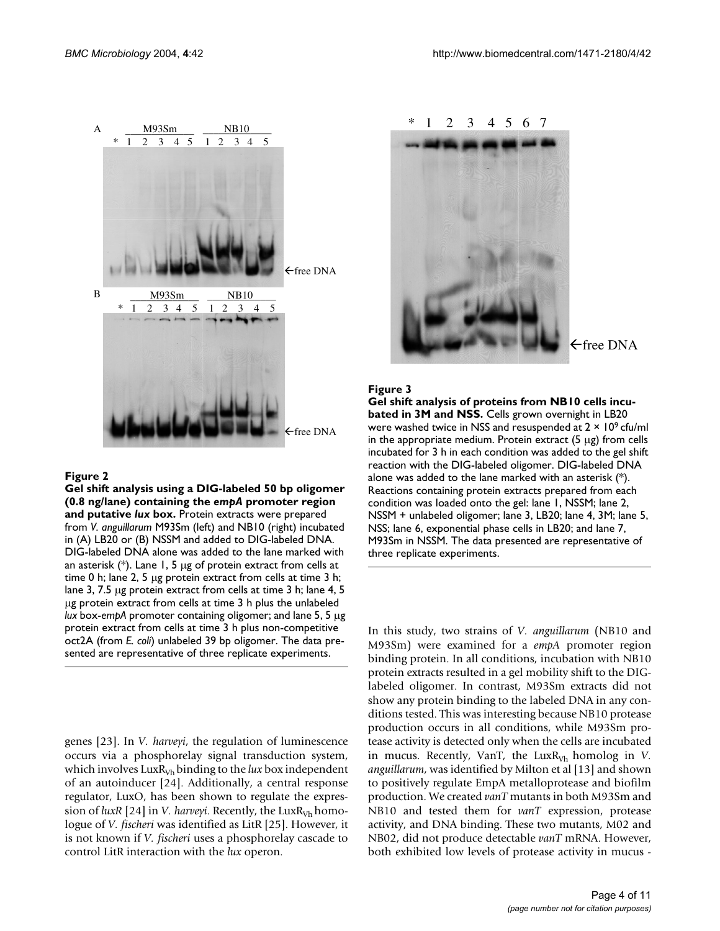

#### Figure 2

**Gel shift analysis using a DIG-labeled 50 bp oligomer (0.8 ng/lane) containing the** *empA* **promoter region and putative** *lux* **box.** Protein extracts were prepared from *V. anguillarum* M93Sm (left) and NB10 (right) incubated in (A) LB20 or (B) NSSM and added to DIG-labeled DNA. DIG-labeled DNA alone was added to the lane marked with an asterisk  $(*)$ . Lane 1, 5 µg of protein extract from cells at time 0 h; lane 2, 5 µg protein extract from cells at time 3 h; lane 3, 7.5 µg protein extract from cells at time 3 h; lane 4, 5 µg protein extract from cells at time 3 h plus the unlabeled *lux* box-*empA* promoter containing oligomer; and lane 5, 5 µg protein extract from cells at time 3 h plus non-competitive oct2A (from *E. coli*) unlabeled 39 bp oligomer. The data presented are representative of three replicate experiments.

genes [23]. In *V. harveyi*, the regulation of luminescence occurs via a phosphorelay signal transduction system, which involves  $LuxR<sub>Vh</sub>$  binding to the  $lux$  box independent of an autoinducer [24]. Additionally, a central response regulator, LuxO, has been shown to regulate the expression of  $luxR$  [24] in *V. harveyi*. Recently, the Lux $R_{Vh}$  homologue of *V. fischeri* was identified as LitR [25]. However, it is not known if *V. fischeri* uses a phosphorelay cascade to control LitR interaction with the *lux* operon.



#### Figure 3

**Gel shift analysis of proteins from NB10 cells incubated in 3M and NSS.** Cells grown overnight in LB20 were washed twice in NSS and resuspended at 2 × 109 cfu/ml in the appropriate medium. Protein extract  $(5 \mu g)$  from cells incubated for 3 h in each condition was added to the gel shift reaction with the DIG-labeled oligomer. DIG-labeled DNA alone was added to the lane marked with an asterisk  $(*)$ . Reactions containing protein extracts prepared from each condition was loaded onto the gel: lane 1, NSSM; lane 2, NSSM + unlabeled oligomer; lane 3, LB20; lane 4, 3M; lane 5, NSS; lane 6, exponential phase cells in LB20; and lane 7, M93Sm in NSSM. The data presented are representative of three replicate experiments.

In this study, two strains of *V. anguillarum* (NB10 and M93Sm) were examined for a *empA* promoter region binding protein. In all conditions, incubation with NB10 protein extracts resulted in a gel mobility shift to the DIGlabeled oligomer. In contrast, M93Sm extracts did not show any protein binding to the labeled DNA in any conditions tested. This was interesting because NB10 protease production occurs in all conditions, while M93Sm protease activity is detected only when the cells are incubated in mucus. Recently, VanT, the Lux $R_{Vh}$  homolog in *V*. *anguillarum*, was identified by Milton et al [13] and shown to positively regulate EmpA metalloprotease and biofilm production. We created *vanT* mutants in both M93Sm and NB10 and tested them for *vanT* expression, protease activity, and DNA binding. These two mutants, M02 and NB02, did not produce detectable *vanT* mRNA. However, both exhibited low levels of protease activity in mucus -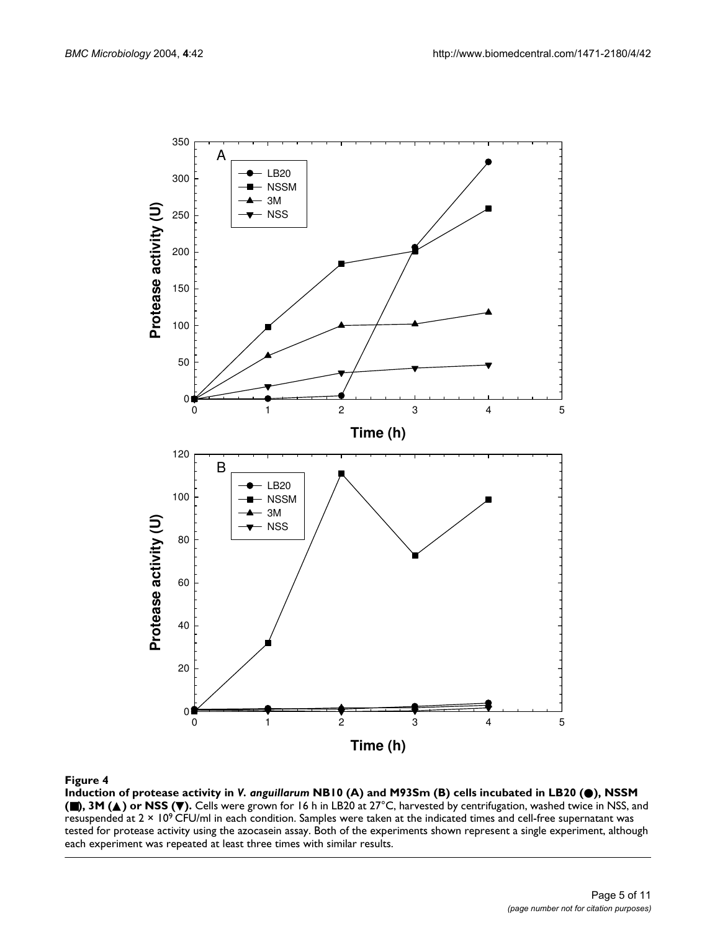

**Induction of protease activity in** *V. anguillarum* **NB10 (A) and M93Sm (B) cells incubated in LB20 (**●**), NSSM (**■**), 3M (**▲**) or NSS (**▼**).** Cells were grown for 16 h in LB20 at 27°C, harvested by centrifugation, washed twice in NSS, and resuspended at 2 × 109 CFU/ml in each condition. Samples were taken at the indicated times and cell-free supernatant was tested for protease activity using the azocasein assay. Both of the experiments shown represent a single experiment, although each experiment was repeated at least three times with similar results.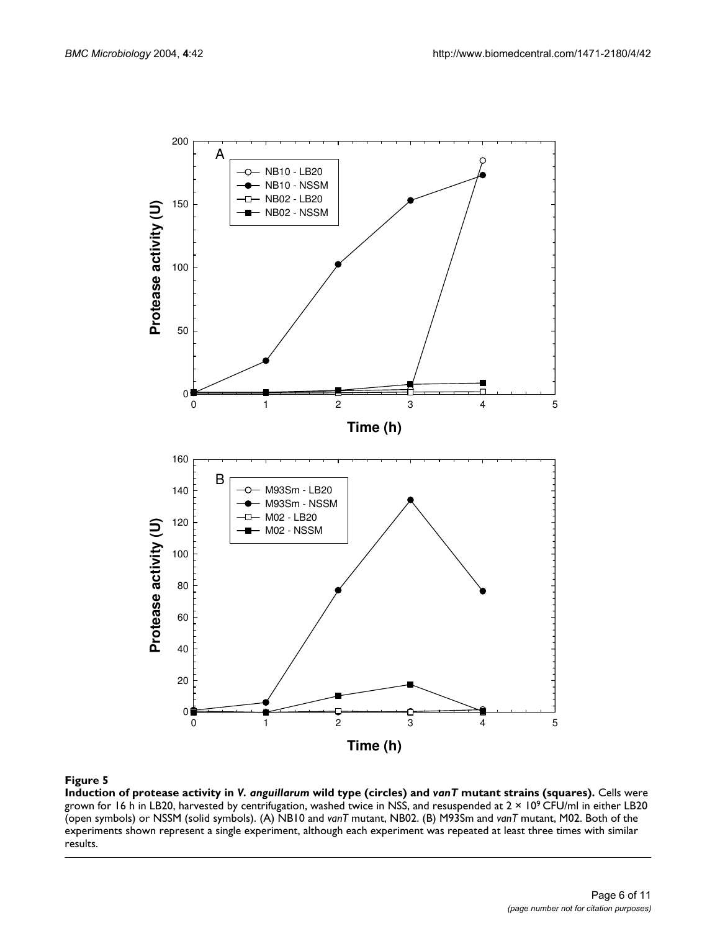

**Induction of protease activity in** *V. anguillarum* **wild type (circles) and** *vanT* **mutant strains (squares).** Cells were grown for 16 h in LB20, harvested by centrifugation, washed twice in NSS, and resuspended at 2 × 109 CFU/ml in either LB20 (open symbols) or NSSM (solid symbols). (A) NB10 and *vanT* mutant, NB02. (B) M93Sm and *vanT* mutant, M02. Both of the experiments shown represent a single experiment, although each experiment was repeated at least three times with similar results.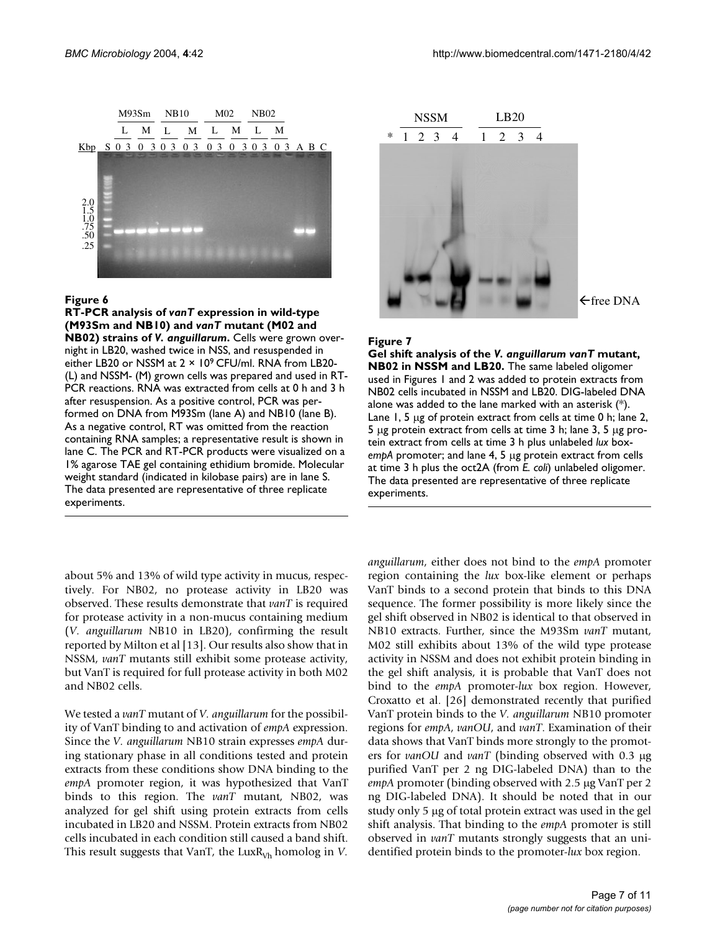

#### Figure 6

**RT-PCR analysis of** *vanT* **expression in wild-type (M93Sm and NB10) and** *vanT* **mutant (M02 and NB02) strains of** *V. anguillarum***.** Cells were grown overnight in LB20, washed twice in NSS, and resuspended in either LB20 or NSSM at 2 × 109 CFU/ml. RNA from LB20- (L) and NSSM- (M) grown cells was prepared and used in RT-PCR reactions. RNA was extracted from cells at 0 h and 3 h after resuspension. As a positive control, PCR was performed on DNA from M93Sm (lane A) and NB10 (lane B). As a negative control, RT was omitted from the reaction containing RNA samples; a representative result is shown in lane C. The PCR and RT-PCR products were visualized on a 1% agarose TAE gel containing ethidium bromide. Molecular weight standard (indicated in kilobase pairs) are in lane S. The data presented are representative of three replicate experiments.

 $\leftarrow$ free DNA

#### Figure 7

**Gel shift analysis of the** *V. anguillarum vanT* **mutant, NB02 in NSSM and LB20.** The same labeled oligomer used in Figures 1 and 2 was added to protein extracts from NB02 cells incubated in NSSM and LB20. DIG-labeled DNA alone was added to the lane marked with an asterisk (\*). Lane 1, 5 µg of protein extract from cells at time 0 h; lane 2, 5  $\mu$ g protein extract from cells at time 3 h; lane 3, 5  $\mu$ g protein extract from cells at time 3 h plus unlabeled *lux* box*empA* promoter; and lane 4, 5 µg protein extract from cells at time 3 h plus the oct2A (from *E. coli*) unlabeled oligomer. The data presented are representative of three replicate experiments.

about 5% and 13% of wild type activity in mucus, respectively. For NB02, no protease activity in LB20 was observed. These results demonstrate that *vanT* is required for protease activity in a non-mucus containing medium (*V. anguillarum* NB10 in LB20), confirming the result reported by Milton et al [13]. Our results also show that in NSSM, *vanT* mutants still exhibit some protease activity, but VanT is required for full protease activity in both M02 and NB02 cells.

We tested a *vanT* mutant of *V. anguillarum* for the possibility of VanT binding to and activation of *empA* expression. Since the *V. anguillarum* NB10 strain expresses *empA* during stationary phase in all conditions tested and protein extracts from these conditions show DNA binding to the *empA* promoter region, it was hypothesized that VanT binds to this region. The *vanT* mutant, NB02, was analyzed for gel shift using protein extracts from cells incubated in LB20 and NSSM. Protein extracts from NB02 cells incubated in each condition still caused a band shift. This result suggests that VanT, the  $LuxR<sub>Vh</sub>$  homolog in *V*.

*anguillarum*, either does not bind to the *empA* promoter region containing the *lux* box-like element or perhaps VanT binds to a second protein that binds to this DNA sequence. The former possibility is more likely since the gel shift observed in NB02 is identical to that observed in NB10 extracts. Further, since the M93Sm *vanT* mutant, M02 still exhibits about 13% of the wild type protease activity in NSSM and does not exhibit protein binding in the gel shift analysis, it is probable that VanT does not bind to the *empA* promoter-*lux* box region. However, Croxatto et al. [26] demonstrated recently that purified VanT protein binds to the *V. anguillarum* NB10 promoter regions for *empA*, *vanOU*, and *vanT*. Examination of their data shows that VanT binds more strongly to the promoters for *vanOU* and *vanT* (binding observed with 0.3 µg purified VanT per 2 ng DIG-labeled DNA) than to the *empA* promoter (binding observed with 2.5 µg VanT per 2 ng DIG-labeled DNA). It should be noted that in our study only 5 µg of total protein extract was used in the gel shift analysis. That binding to the *empA* promoter is still observed in *vanT* mutants strongly suggests that an unidentified protein binds to the promoter-*lux* box region.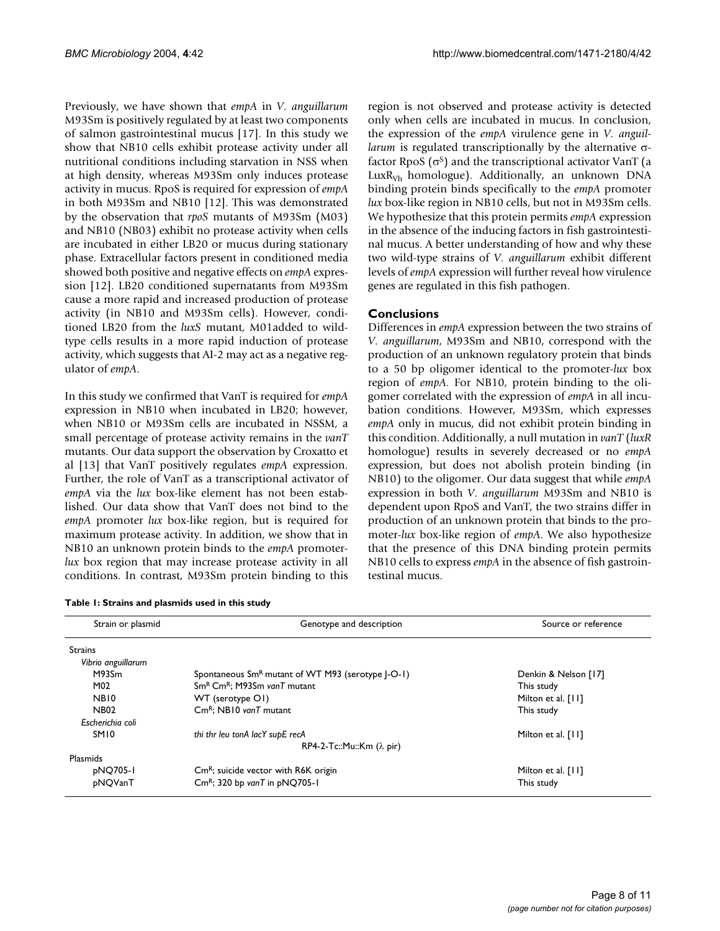Previously, we have shown that *empA* in *V. anguillarum* M93Sm is positively regulated by at least two components of salmon gastrointestinal mucus [17]. In this study we show that NB10 cells exhibit protease activity under all nutritional conditions including starvation in NSS when at high density, whereas M93Sm only induces protease activity in mucus. RpoS is required for expression of *empA* in both M93Sm and NB10 [12]. This was demonstrated by the observation that *rpoS* mutants of M93Sm (M03) and NB10 (NB03) exhibit no protease activity when cells are incubated in either LB20 or mucus during stationary phase. Extracellular factors present in conditioned media showed both positive and negative effects on *empA* expression [12]. LB20 conditioned supernatants from M93Sm cause a more rapid and increased production of protease activity (in NB10 and M93Sm cells). However, conditioned LB20 from the *luxS* mutant, M01added to wildtype cells results in a more rapid induction of protease activity, which suggests that AI-2 may act as a negative regulator of *empA*.

In this study we confirmed that VanT is required for *empA* expression in NB10 when incubated in LB20; however, when NB10 or M93Sm cells are incubated in NSSM, a small percentage of protease activity remains in the *vanT* mutants. Our data support the observation by Croxatto et al [13] that VanT positively regulates *empA* expression. Further, the role of VanT as a transcriptional activator of *empA* via the *lux* box-like element has not been established. Our data show that VanT does not bind to the *empA* promoter *lux* box-like region, but is required for maximum protease activity. In addition, we show that in NB10 an unknown protein binds to the *empA* promoter*lux* box region that may increase protease activity in all conditions. In contrast, M93Sm protein binding to this

|  |  |  |  |  |  | Table 1: Strains and plasmids used in this study |  |
|--|--|--|--|--|--|--------------------------------------------------|--|
|--|--|--|--|--|--|--------------------------------------------------|--|

region is not observed and protease activity is detected only when cells are incubated in mucus. In conclusion, the expression of the *empA* virulence gene in *V. anguillarum* is regulated transcriptionally by the alternative σfactor RpoS  $(\sigma^s)$  and the transcriptional activator VanT (a Lux $R_{Vh}$  homologue). Additionally, an unknown DNA binding protein binds specifically to the *empA* promoter *lux* box-like region in NB10 cells, but not in M93Sm cells. We hypothesize that this protein permits *empA* expression in the absence of the inducing factors in fish gastrointestinal mucus. A better understanding of how and why these two wild-type strains of *V. anguillarum* exhibit different levels of *empA* expression will further reveal how virulence genes are regulated in this fish pathogen.

#### **Conclusions**

Differences in *empA* expression between the two strains of *V. anguillarum*, M93Sm and NB10, correspond with the production of an unknown regulatory protein that binds to a 50 bp oligomer identical to the promoter-*lux* box region of *empA*. For NB10, protein binding to the oligomer correlated with the expression of *empA* in all incubation conditions. However, M93Sm, which expresses *empA* only in mucus, did not exhibit protein binding in this condition. Additionally, a null mutation in *vanT* (*luxR* homologue) results in severely decreased or no *empA* expression, but does not abolish protein binding (in NB10) to the oligomer. Our data suggest that while *empA* expression in both *V. anguillarum* M93Sm and NB10 is dependent upon RpoS and VanT, the two strains differ in production of an unknown protein that binds to the promoter-*lux* box-like region of *empA*. We also hypothesize that the presence of this DNA binding protein permits NB10 cells to express *empA* in the absence of fish gastrointestinal mucus.

| Strain or plasmid  | Genotype and description                                      | Source or reference  |
|--------------------|---------------------------------------------------------------|----------------------|
| <b>Strains</b>     |                                                               |                      |
| Vibrio anguillarum |                                                               |                      |
| M93Sm              | Spontaneous Sm <sup>R</sup> mutant of WT M93 (serotype J-O-1) | Denkin & Nelson [17] |
| M02                | Sm <sup>R</sup> Cm <sup>R</sup> : M93Sm vanT mutant           | This study           |
| NB <sub>10</sub>   | WT (serotype O1)                                              | Milton et al. [11]   |
| <b>NB02</b>        | $\textsf{Cm}^R$ : NB10 vanT mutant                            | This study           |
| Escherichia coli   |                                                               |                      |
| <b>SM10</b>        | thi thr leu tonA lacY supE recA                               | Milton et al. [11]   |
|                    | $RP4-2-TC::Mu::Km (\lambda pir)$                              |                      |
| Plasmids           |                                                               |                      |
| pNQ705-1           | $\mathsf{Cm}^R$ ; suicide vector with R6K origin              | Milton et al. [11]   |
| pNOVanT            | $\text{Cm}^R$ ; 320 bp vanT in pNQ705-1                       | This study           |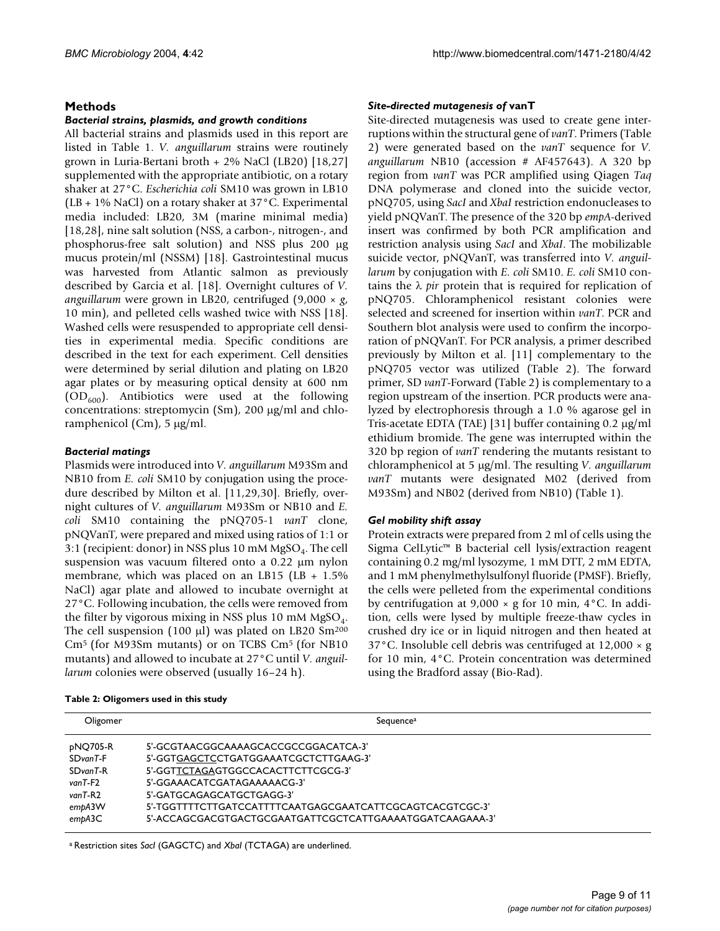#### **Methods**

#### *Bacterial strains, plasmids, and growth conditions*

All bacterial strains and plasmids used in this report are listed in Table 1. *V. anguillarum* strains were routinely grown in Luria-Bertani broth + 2% NaCl (LB20) [18,27] supplemented with the appropriate antibiotic, on a rotary shaker at 27°C. *Escherichia coli* SM10 was grown in LB10 (LB + 1% NaCl) on a rotary shaker at 37°C. Experimental media included: LB20, 3M (marine minimal media) [18,28], nine salt solution (NSS, a carbon-, nitrogen-, and phosphorus-free salt solution) and NSS plus 200 µg mucus protein/ml (NSSM) [18]. Gastrointestinal mucus was harvested from Atlantic salmon as previously described by Garcia et al. [18]. Overnight cultures of *V. anguillarum* were grown in LB20, centrifuged (9,000 × *g*, 10 min), and pelleted cells washed twice with NSS [18]. Washed cells were resuspended to appropriate cell densities in experimental media. Specific conditions are described in the text for each experiment. Cell densities were determined by serial dilution and plating on LB20 agar plates or by measuring optical density at 600 nm  $(OD<sub>600</sub>)$ . Antibiotics were used at the following concentrations: streptomycin (Sm), 200 µg/ml and chloramphenicol (Cm), 5 µg/ml.

#### *Bacterial matings*

Plasmids were introduced into *V. anguillarum* M93Sm and NB10 from *E. coli* SM10 by conjugation using the procedure described by Milton et al. [11,29,30]. Briefly, overnight cultures of *V. anguillarum* M93Sm or NB10 and *E. coli* SM10 containing the pNQ705-1 *vanT* clone, pNQVanT, were prepared and mixed using ratios of 1:1 or 3:1 (recipient: donor) in NSS plus 10 mM  $MgSO<sub>4</sub>$ . The cell suspension was vacuum filtered onto a 0.22 µm nylon membrane, which was placed on an LB15 (LB +  $1.5\%$ NaCl) agar plate and allowed to incubate overnight at 27°C. Following incubation, the cells were removed from the filter by vigorous mixing in NSS plus 10 mM  $MgSO<sub>4</sub>$ . The cell suspension (100  $\mu$ l) was plated on LB20 Sm<sup>200</sup> Cm5 (for M93Sm mutants) or on TCBS Cm5 (for NB10 mutants) and allowed to incubate at 27°C until *V. anguillarum* colonies were observed (usually 16–24 h).

#### **Table 2: Oligomers used in this study**

#### *Site-directed mutagenesis of* **vanT**

Site-directed mutagenesis was used to create gene interruptions within the structural gene of *vanT*. Primers (Table 2) were generated based on the *vanT* sequence for *V. anguillarum* NB10 (accession # AF457643). A 320 bp region from *vanT* was PCR amplified using Qiagen *Taq* DNA polymerase and cloned into the suicide vector, pNQ705, using *SacI* and *XbaI* restriction endonucleases to yield pNQVanT. The presence of the 320 bp *empA*-derived insert was confirmed by both PCR amplification and restriction analysis using *SacI* and *XbaI*. The mobilizable suicide vector, pNQVanT, was transferred into *V. anguillarum* by conjugation with *E. coli* SM10. *E. coli* SM10 contains the λ *pir* protein that is required for replication of pNQ705. Chloramphenicol resistant colonies were selected and screened for insertion within *vanT*. PCR and Southern blot analysis were used to confirm the incorporation of pNQVanT. For PCR analysis, a primer described previously by Milton et al. [11] complementary to the pNQ705 vector was utilized (Table 2). The forward primer, SD *vanT*-Forward (Table 2) is complementary to a region upstream of the insertion. PCR products were analyzed by electrophoresis through a 1.0 % agarose gel in Tris-acetate EDTA (TAE) [31] buffer containing 0.2 µg/ml ethidium bromide. The gene was interrupted within the 320 bp region of *vanT* rendering the mutants resistant to chloramphenicol at 5 µg/ml. The resulting *V. anguillarum vanT* mutants were designated M02 (derived from M93Sm) and NB02 (derived from NB10) (Table 1).

#### *Gel mobility shift assay*

Protein extracts were prepared from 2 ml of cells using the Sigma CelLytic™ B bacterial cell lysis/extraction reagent containing 0.2 mg/ml lysozyme, 1 mM DTT, 2 mM EDTA, and 1 mM phenylmethylsulfonyl fluoride (PMSF). Briefly, the cells were pelleted from the experimental conditions by centrifugation at  $9,000 \times g$  for 10 min, 4 °C. In addition, cells were lysed by multiple freeze-thaw cycles in crushed dry ice or in liquid nitrogen and then heated at 37°C. Insoluble cell debris was centrifuged at 12,000 × g for 10 min, 4°C. Protein concentration was determined using the Bradford assay (Bio-Rad).

| Oligomer                                                         | Sequence <sup>a</sup>                                                                                                                                                                                                                       |
|------------------------------------------------------------------|---------------------------------------------------------------------------------------------------------------------------------------------------------------------------------------------------------------------------------------------|
| pNQ705-R<br>SDvanT-F<br>SDvanT-R<br>vanT-F2<br>vanT-R2<br>empA3W | 5'-GCGTAACGGCAAAAGCACCGCCGGACATCA-3'<br>5'-GGTGAGCTCCTGATGGAAATCGCTCTTGAAG-3'<br>5'-GGTTCTAGAGTGGCCACACTTCTTCGCG-3'<br>5'-GGAAACATCGATAGAAAAACG-3'<br>5'-GATGCAGAGCATGCTGAGG-3'<br>5'-TGGTTTTCTTGATCCATTTTCAATGAGCGAATCATTCGCAGTCACGTCGC-3' |
| embA3C                                                           | 5'-ACCAGCGACGTGACTGCGAATGATTCGCTCATTGAAAATGGATCAAGAAA-3'                                                                                                                                                                                    |

a Restriction sites *SacI* (GAGCTC) and *XbaI* (TCTAGA) are underlined.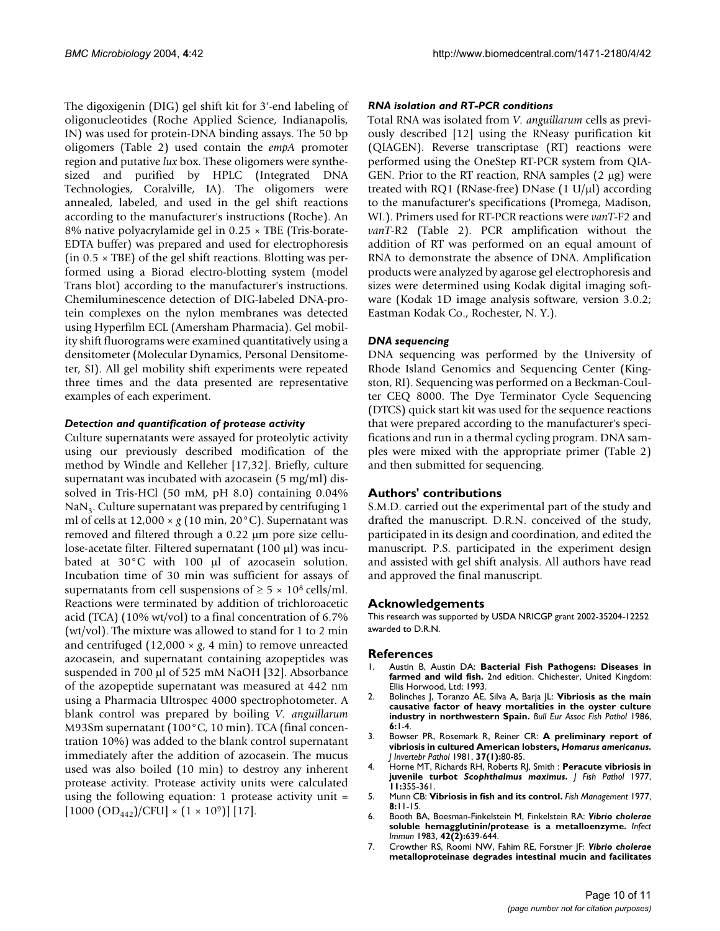The digoxigenin (DIG) gel shift kit for 3'-end labeling of oligonucleotides (Roche Applied Science, Indianapolis, IN) was used for protein-DNA binding assays. The 50 bp oligomers (Table 2) used contain the *empA* promoter region and putative *lux* box. These oligomers were synthesized and purified by HPLC (Integrated DNA Technologies, Coralville, IA). The oligomers were annealed, labeled, and used in the gel shift reactions according to the manufacturer's instructions (Roche). An 8% native polyacrylamide gel in 0.25 × TBE (Tris-borate-EDTA buffer) was prepared and used for electrophoresis (in  $0.5 \times$  TBE) of the gel shift reactions. Blotting was performed using a Biorad electro-blotting system (model Trans blot) according to the manufacturer's instructions. Chemiluminescence detection of DIG-labeled DNA-protein complexes on the nylon membranes was detected using Hyperfilm ECL (Amersham Pharmacia). Gel mobility shift fluorograms were examined quantitatively using a densitometer (Molecular Dynamics, Personal Densitometer, SI). All gel mobility shift experiments were repeated three times and the data presented are representative examples of each experiment.

#### *Detection and quantification of protease activity*

Culture supernatants were assayed for proteolytic activity using our previously described modification of the method by Windle and Kelleher [17,32]. Briefly, culture supernatant was incubated with azocasein (5 mg/ml) dissolved in Tris-HCl (50 mM, pH 8.0) containing 0.04%  $\text{NaN}_3$ . Culture supernatant was prepared by centrifuging 1 ml of cells at  $12,000 \times g$  (10 min, 20 °C). Supernatant was removed and filtered through a 0.22 µm pore size cellulose-acetate filter. Filtered supernatant (100 µl) was incubated at 30°C with 100 µl of azocasein solution. Incubation time of 30 min was sufficient for assays of supernatants from cell suspensions of  $\geq 5 \times 10^8$  cells/ml. Reactions were terminated by addition of trichloroacetic acid (TCA) (10% wt/vol) to a final concentration of 6.7% (wt/vol). The mixture was allowed to stand for 1 to 2 min and centrifuged  $(12,000 \times g, 4 \text{ min})$  to remove unreacted azocasein, and supernatant containing azopeptides was suspended in 700 µl of 525 mM NaOH [32]. Absorbance of the azopeptide supernatant was measured at 442 nm using a Pharmacia Ultrospec 4000 spectrophotometer. A blank control was prepared by boiling *V. anguillarum* M93Sm supernatant (100°C, 10 min). TCA (final concentration 10%) was added to the blank control supernatant immediately after the addition of azocasein. The mucus used was also boiled (10 min) to destroy any inherent protease activity. Protease activity units were calculated using the following equation: 1 protease activity unit =  $[1000 \text{ (OD}_{442})/\text{CFU}] \times (1 \times 10^9)]$  [17].

#### *RNA isolation and RT-PCR conditions*

Total RNA was isolated from *V. anguillarum* cells as previously described [12] using the RNeasy purification kit (QIAGEN). Reverse transcriptase (RT) reactions were performed using the OneStep RT-PCR system from QIA-GEN. Prior to the RT reaction, RNA samples  $(2 \mu g)$  were treated with RQ1 (RNase-free) DNase  $(1 \text{ U/}\mu l)$  according to the manufacturer's specifications (Promega, Madison, WI.). Primers used for RT-PCR reactions were *vanT*-F2 and *vanT*-R2 (Table 2). PCR amplification without the addition of RT was performed on an equal amount of RNA to demonstrate the absence of DNA. Amplification products were analyzed by agarose gel electrophoresis and sizes were determined using Kodak digital imaging software (Kodak 1D image analysis software, version 3.0.2; Eastman Kodak Co., Rochester, N. Y.).

#### *DNA sequencing*

DNA sequencing was performed by the University of Rhode Island Genomics and Sequencing Center (Kingston, RI). Sequencing was performed on a Beckman-Coulter CEQ 8000. The Dye Terminator Cycle Sequencing (DTCS) quick start kit was used for the sequence reactions that were prepared according to the manufacturer's specifications and run in a thermal cycling program. DNA samples were mixed with the appropriate primer (Table 2) and then submitted for sequencing.

#### **Authors' contributions**

S.M.D. carried out the experimental part of the study and drafted the manuscript. D.R.N. conceived of the study, participated in its design and coordination, and edited the manuscript. P.S. participated in the experiment design and assisted with gel shift analysis. All authors have read and approved the final manuscript.

#### **Acknowledgements**

This research was supported by USDA NRICGP grant 2002-35204-12252 awarded to D.R.N.

#### **References**

- 1. Austin B, Austin DA: **Bacterial Fish Pathogens: Diseases in farmed and wild fish.** 2nd edition. Chichester, United Kingdom: Ellis Horwood, Ltd; 1993.
- 2. Bolinches J, Toranzo AE, Silva A, Barja JL: **Vibriosis as the main causative factor of heavy mortalities in the oyster culture industry in northwestern Spain.** *Bull Eur Assoc Fish Pathol* 1986, **6:**1-4.
- 3. Bowser PR, Rosemark R, Reiner CR: **A preliminary report of vibriosis in cultured American lobsters,** *Homarus americanus***[.](http://www.ncbi.nlm.nih.gov/entrez/query.fcgi?cmd=Retrieve&db=PubMed&dopt=Abstract&list_uids=7217706)** *J Invertebr Pathol* 1981, **37(1):**80-85.
- 4. Horne MT, Richards RH, Roberts RJ, Smith : **Peracute vibriosis in juvenile turbot** *Scophthalmus maximus***.** *J Fish Pathol* 1977, **11:**355-361.
- 5. Munn CB: **Vibriosis in fish and its control.** *Fish Management* 1977, **8:**11-15.
- 6. Booth BA, Boesman-Finkelstein M, Finkelstein RA: *Vibrio cholerae* **[soluble hemagglutinin/protease is a metalloenzyme.](http://www.ncbi.nlm.nih.gov/entrez/query.fcgi?cmd=Retrieve&db=PubMed&dopt=Abstract&list_uids=6417020)** *Infect Immun* 1983, **42(2):**639-644.
- 7. Crowther RS, Roomi NW, Fahim RE, Forstner JF: *Vibrio cholerae* **[metalloproteinase degrades intestinal mucin and facilitates](http://www.ncbi.nlm.nih.gov/entrez/query.fcgi?cmd=Retrieve&db=PubMed&dopt=Abstract&list_uids=3297167)**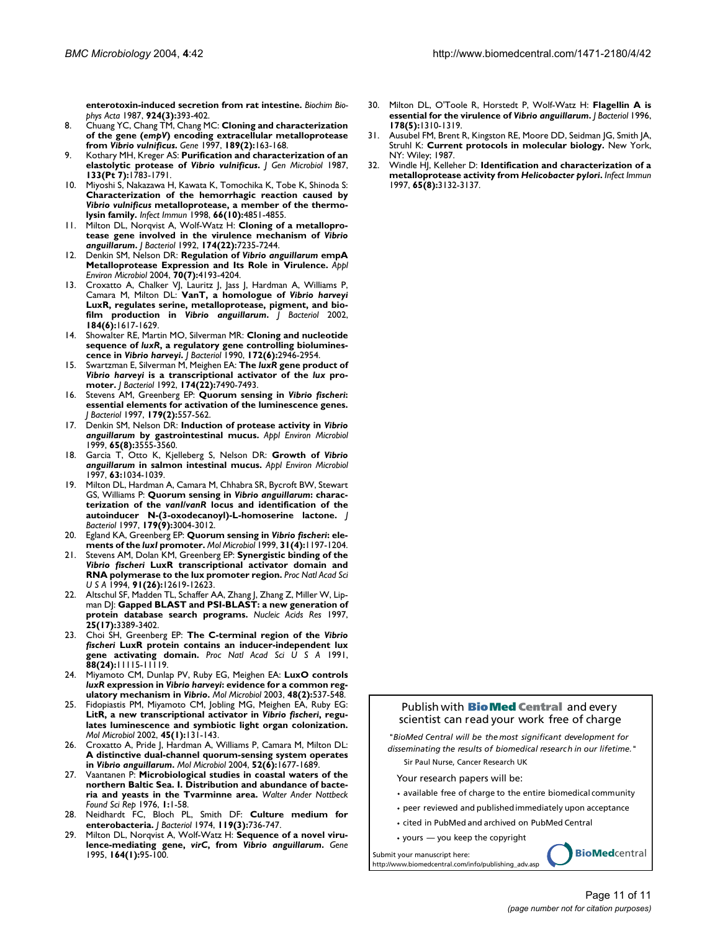**[enterotoxin-induced secretion from rat intestine.](http://www.ncbi.nlm.nih.gov/entrez/query.fcgi?cmd=Retrieve&db=PubMed&dopt=Abstract&list_uids=3297167)** *Biochim Biophys Acta* 1987, **924(3):**393-402.

- 8. Chuang YC, Chang TM, Chang MC: **Cloning and characterization of the gene (***empV***) encoding extracellular metalloprotease from** *Vibrio vulnificus***[.](http://www.ncbi.nlm.nih.gov/entrez/query.fcgi?cmd=Retrieve&db=PubMed&dopt=Abstract&list_uids=9168122)** *Gene* 1997, **189(2):**163-168.
- 9. Kothary MH, Kreger AS: **Purification and characterization of an elastolytic protease of** *Vibrio vulnificus***[.](http://www.ncbi.nlm.nih.gov/entrez/query.fcgi?cmd=Retrieve&db=PubMed&dopt=Abstract&list_uids=3312481)** *J Gen Microbiol* 1987, **133(Pt 7):**1783-1791.
- 10. Miyoshi S, Nakazawa H, Kawata K, Tomochika K, Tobe K, Shinoda S: **Characterization of the hemorrhagic reaction caused by** *Vibrio vulnificus* **[metalloprotease, a member of the thermo](http://www.ncbi.nlm.nih.gov/entrez/query.fcgi?cmd=Retrieve&db=PubMed&dopt=Abstract&list_uids=9746589)[lysin family.](http://www.ncbi.nlm.nih.gov/entrez/query.fcgi?cmd=Retrieve&db=PubMed&dopt=Abstract&list_uids=9746589)** *Infect Immun* 1998, **66(10):**4851-4855.
- 11. Milton DL, Norqvist A, Wolf-Watz H: **Cloning of a metalloprotease gene involved in the virulence mechanism of** *Vibrio anguillarum***[.](http://www.ncbi.nlm.nih.gov/entrez/query.fcgi?cmd=Retrieve&db=PubMed&dopt=Abstract&list_uids=1429449)** *J Bacteriol* 1992, **174(22):**7235-7244.
- 12. Denkin SM, Nelson DR: **Regulation of** *Vibrio anguillarum* **[empA](http://www.ncbi.nlm.nih.gov/entrez/query.fcgi?cmd=Retrieve&db=PubMed&dopt=Abstract&list_uids=15240301) [Metalloprotease Expression and Its Role in Virulence.](http://www.ncbi.nlm.nih.gov/entrez/query.fcgi?cmd=Retrieve&db=PubMed&dopt=Abstract&list_uids=15240301)** *Appl Environ Microbiol* 2004, **70(7):**4193-4204.
- 13. Croxatto A, Chalker VJ, Lauritz J, Jass J, Hardman A, Williams P, Camara M, Milton DL: **VanT, a homologue of** *Vibrio harveyi* **LuxR, regulates serine, metalloprotease, pigment, and biofilm production in** *Vibrio anguillarum***[.](http://www.ncbi.nlm.nih.gov/entrez/query.fcgi?cmd=Retrieve&db=PubMed&dopt=Abstract&list_uids=11872713)** *J Bacteriol* 2002, **184(6):**1617-1629.
- 14. Showalter RE, Martin MO, Silverman MR: **Cloning and nucleotide sequence of** *luxR***, a regulatory gene controlling bioluminescence in** *Vibrio harveyi***[.](http://www.ncbi.nlm.nih.gov/entrez/query.fcgi?cmd=Retrieve&db=PubMed&dopt=Abstract&list_uids=2160932)** *J Bacteriol* 1990, **172(6):**2946-2954.
- 15. Swartzman E, Silverman M, Meighen EA: **The** *luxR* **gene product of** *Vibrio harveyi* **is a transcriptional activator of the** *lux* **[pro](http://www.ncbi.nlm.nih.gov/entrez/query.fcgi?cmd=Retrieve&db=PubMed&dopt=Abstract&list_uids=1385389)[moter.](http://www.ncbi.nlm.nih.gov/entrez/query.fcgi?cmd=Retrieve&db=PubMed&dopt=Abstract&list_uids=1385389)** *J Bacteriol* 1992, **174(22):**7490-7493.
- 16. Stevens AM, Greenberg EP: **Quorum sensing in** *Vibrio fischeri***[:](http://www.ncbi.nlm.nih.gov/entrez/query.fcgi?cmd=Retrieve&db=PubMed&dopt=Abstract&list_uids=8990313) [essential elements for activation of the luminescence genes.](http://www.ncbi.nlm.nih.gov/entrez/query.fcgi?cmd=Retrieve&db=PubMed&dopt=Abstract&list_uids=8990313)** *J Bacteriol* 1997, **179(2):**557-562.
- 17. Denkin SM, Nelson DR: **Induction of protease activity in** *Vibrio anguillarum* **[by gastrointestinal mucus.](http://www.ncbi.nlm.nih.gov/entrez/query.fcgi?cmd=Retrieve&db=PubMed&dopt=Abstract&list_uids=10427048)** *Appl Environ Microbiol* 1999, **65(8):**3555-3560.
- 18. Garcia T, Otto K, Kjelleberg S, Nelson DR: **Growth of** *Vibrio anguillarum* **in salmon intestinal mucus.** *Appl Environ Microbiol* 1997, **63:**1034-1039.
- 19. Milton DL, Hardman A, Camara M, Chhabra SR, Bycroft BW, Stewart GS, Williams P: **Quorum sensing in** *Vibrio anguillarum***: characterization of the** *vanI***/***vanR* **[locus and identification of the](http://www.ncbi.nlm.nih.gov/entrez/query.fcgi?cmd=Retrieve&db=PubMed&dopt=Abstract&list_uids=9139920) [autoinducer N-\(3-oxodecanoyl\)-L-homoserine lactone.](http://www.ncbi.nlm.nih.gov/entrez/query.fcgi?cmd=Retrieve&db=PubMed&dopt=Abstract&list_uids=9139920)** *J Bacteriol* 1997, **179(9):**3004-3012.
- 20. Egland KA, Greenberg EP: **Quorum sensing in** *Vibrio fischeri***: elements of the** *luxI* **[promoter.](http://www.ncbi.nlm.nih.gov/entrez/query.fcgi?cmd=Retrieve&db=PubMed&dopt=Abstract&list_uids=10096086)** *Mol Microbiol* 1999, **31(4):**1197-1204.
- Stevens AM, Dolan KM, Greenberg EP: Synergistic binding of the *Vibrio fischeri* **[LuxR transcriptional activator domain and](http://www.ncbi.nlm.nih.gov/entrez/query.fcgi?cmd=Retrieve&db=PubMed&dopt=Abstract&list_uids=7809088) [RNA polymerase to the lux promoter region.](http://www.ncbi.nlm.nih.gov/entrez/query.fcgi?cmd=Retrieve&db=PubMed&dopt=Abstract&list_uids=7809088)** *Proc Natl Acad Sci U S A* 1994, **91(26):**12619-12623.
- 22. Altschul SF, Madden TL, Schaffer AA, Zhang J, Zhang Z, Miller W, Lipman DJ: **[Gapped BLAST and PSI-BLAST: a new generation of](http://www.ncbi.nlm.nih.gov/entrez/query.fcgi?cmd=Retrieve&db=PubMed&dopt=Abstract&list_uids=9254694) [protein database search programs.](http://www.ncbi.nlm.nih.gov/entrez/query.fcgi?cmd=Retrieve&db=PubMed&dopt=Abstract&list_uids=9254694)** *Nucleic Acids Res* 1997, **25(17):**3389-3402.
- 23. Choi SH, Greenberg EP: **The C-terminal region of the** *Vibrio fischeri* **[LuxR protein contains an inducer-independent lux](http://www.ncbi.nlm.nih.gov/entrez/query.fcgi?cmd=Retrieve&db=PubMed&dopt=Abstract&list_uids=1763027) [gene activating domain.](http://www.ncbi.nlm.nih.gov/entrez/query.fcgi?cmd=Retrieve&db=PubMed&dopt=Abstract&list_uids=1763027)** *Proc Natl Acad Sci U S A* 1991, **88(24):**11115-11119.
- 24. Miyamoto CM, Dunlap PV, Ruby EG, Meighen EA: **LuxO controls** *luxR* **expression in** *Vibrio harveyi***: evidence for a common regulatory mechanism in** *Vibrio***[.](http://www.ncbi.nlm.nih.gov/entrez/query.fcgi?cmd=Retrieve&db=PubMed&dopt=Abstract&list_uids=12675810)** *Mol Microbiol* 2003, **48(2):**537-548.
- 25. Fidopiastis PM, Miyamoto CM, Jobling MG, Meighen EA, Ruby EG: **LitR, a new transcriptional activator in** *Vibrio fischeri***[, regu](http://www.ncbi.nlm.nih.gov/entrez/query.fcgi?cmd=Retrieve&db=PubMed&dopt=Abstract&list_uids=12100554)[lates luminescence and symbiotic light organ colonization.](http://www.ncbi.nlm.nih.gov/entrez/query.fcgi?cmd=Retrieve&db=PubMed&dopt=Abstract&list_uids=12100554)** *Mol Microbiol* 2002, **45(1):**131-143.
- 26. Croxatto A, Pride J, Hardman A, Williams P, Camara M, Milton DL: **A distinctive dual-channel quorum-sensing system operates in** *Vibrio anguillarum***[.](http://www.ncbi.nlm.nih.gov/entrez/query.fcgi?cmd=Retrieve&db=PubMed&dopt=Abstract&list_uids=15186417)** *Mol Microbiol* 2004, **52(6):**1677-1689.
- 27. Vaantanen P: **Microbiological studies in coastal waters of the northern Baltic Sea. I. Distribution and abundance of bacteria and yeasts in the Tvarminne area.** *Walter Ander Nottbeck Found Sci Rep* 1976, **1:**1-58.
- 28. Neidhardt FC, Bloch PL, Smith DF: **[Culture medium for](http://www.ncbi.nlm.nih.gov/entrez/query.fcgi?cmd=Retrieve&db=PubMed&dopt=Abstract&list_uids=4604283) [enterobacteria.](http://www.ncbi.nlm.nih.gov/entrez/query.fcgi?cmd=Retrieve&db=PubMed&dopt=Abstract&list_uids=4604283)** *J Bacteriol* 1974, **119(3):**736-747.
- 29. Milton DL, Norqvist A, Wolf-Watz H: **Sequence of a novel virulence-mediating gene,** *virC***, from** *Vibrio anguillarum***[.](http://www.ncbi.nlm.nih.gov/entrez/query.fcgi?cmd=Retrieve&db=PubMed&dopt=Abstract&list_uids=7590330)** *Gene* 1995, **164(1):**95-100.
- 30. Milton DL, O'Toole R, Horstedt P, Wolf-Watz H: **Flagellin A is essential for the virulence of** *Vibrio anguillarum***[.](http://www.ncbi.nlm.nih.gov/entrez/query.fcgi?cmd=Retrieve&db=PubMed&dopt=Abstract&list_uids=8631707)** *J Bacteriol* 1996, **178(5):**1310-1319.
- 31. Ausubel FM, Brent R, Kingston RE, Moore DD, Seidman JG, Smith JA, Struhl K: **Current protocols in molecular biology.** New York, NY: Wiley; 1987.
- 32. Windle HJ, Kelleher D: **Identification and characterization of a metalloprotease activity from** *Helicobacter pylori***[.](http://www.ncbi.nlm.nih.gov/entrez/query.fcgi?cmd=Retrieve&db=PubMed&dopt=Abstract&list_uids=9234765)** *Infect Immun* 1997, **65(8):**3132-3137.